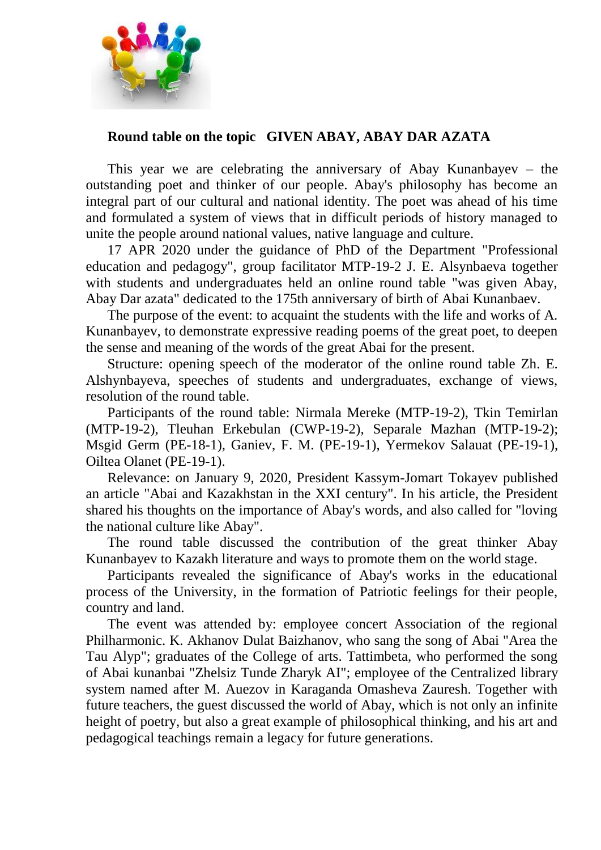

## **Round table on the topic GIVEN ABAY, ABAY DAR AZATA**

This year we are celebrating the anniversary of Abay Kunanbayev – the outstanding poet and thinker of our people. Abay's philosophy has become an integral part of our cultural and national identity. The poet was ahead of his time and formulated a system of views that in difficult periods of history managed to unite the people around national values, native language and culture.

17 APR 2020 under the guidance of PhD of the Department "Professional education and pedagogy", group facilitator MTP-19-2 J. E. Alsynbaeva together with students and undergraduates held an online round table "was given Abay, Abay Dar azata" dedicated to the 175th anniversary of birth of Abai Kunanbaev.

The purpose of the event: to acquaint the students with the life and works of A. Kunanbayev, to demonstrate expressive reading poems of the great poet, to deepen the sense and meaning of the words of the great Abai for the present.

Structure: opening speech of the moderator of the online round table Zh. E. Alshynbayeva, speeches of students and undergraduates, exchange of views, resolution of the round table.

Participants of the round table: Nirmala Mereke (MTP-19-2), Tkin Temirlan (MTP-19-2), Tleuhan Erkebulan (CWP-19-2), Separale Mazhan (MTP-19-2); Msgid Germ (PE-18-1), Ganiev, F. M. (PE-19-1), Yermekov Salauat (PE-19-1), Oiltea Olanet (PE-19-1).

Relevance: on January 9, 2020, President Kassym-Jomart Tokayev published an article "Abai and Kazakhstan in the XXI century". In his article, the President shared his thoughts on the importance of Abay's words, and also called for "loving the national culture like Abay".

The round table discussed the contribution of the great thinker Abay Kunanbayev to Kazakh literature and ways to promote them on the world stage.

Participants revealed the significance of Abay's works in the educational process of the University, in the formation of Patriotic feelings for their people, country and land.

The event was attended by: employee concert Association of the regional Philharmonic. K. Akhanov Dulat Baizhanov, who sang the song of Abai "Area the Tau Alyp"; graduates of the College of arts. Tattimbeta, who performed the song of Abai kunanbai "Zhelsiz Tunde Zharyk AI"; employee of the Centralized library system named after M. Auezov in Karaganda Omasheva Zauresh. Together with future teachers, the guest discussed the world of Abay, which is not only an infinite height of poetry, but also a great example of philosophical thinking, and his art and pedagogical teachings remain a legacy for future generations.